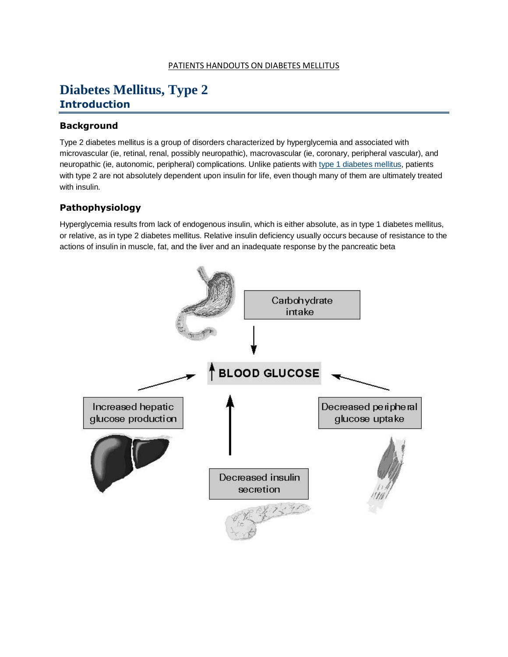#### PATIENTS HANDOUTS ON DIABETES MELLITUS

### **Diabetes Mellitus, Type 2 Introduction**

#### **Background**

Type 2 diabetes mellitus is a group of disorders characterized by hyperglycemia and associated with microvascular (ie, retinal, renal, possibly neuropathic), macrovascular (ie, coronary, peripheral vascular), and neuropathic (ie, autonomic, peripheral) complications. Unlike patients with [type 1 diabetes mellitus,](http://emedicine.medscape.com/article/117739-overview) patients with type 2 are not absolutely dependent upon insulin for life, even though many of them are ultimately treated with insulin.

#### **Pathophysiology**

Hyperglycemia results from lack of endogenous insulin, which is either absolute, as in type 1 diabetes mellitus, or relative, as in type 2 diabetes mellitus. Relative insulin deficiency usually occurs because of resistance to the actions of insulin in muscle, fat, and the liver and an inadequate response by the pancreatic beta

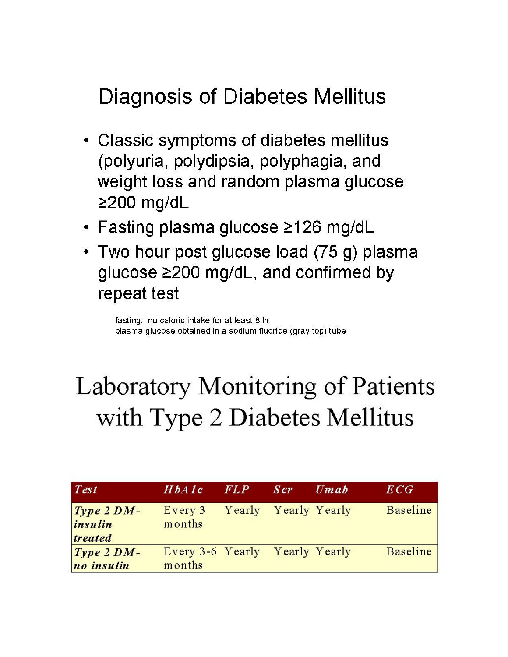## Diagnosis of Diabetes Mellitus

- Classic symptoms of diabetes mellitus (polyuria, polydipsia, polyphagia, and weight loss and random plasma glucose  $\geq$ 200 mg/dL
- Fasting plasma glucose ≥126 mg/dL
- Two hour post glucose load (75 g) plasma glucose ≥200 mg/dL, and confirmed by repeat test

fasting: no caloric intake for at least 8 hr plasma glucose obtained in a sodium fluoride (gray top) tube

# Laboratory Monitoring of Patients with Type 2 Diabetes Mellitus

| <b>Test</b>                        | HbA1c                                    | FLP                  | S cr | $U$ <i>m</i> $ab$ | ECG             |
|------------------------------------|------------------------------------------|----------------------|------|-------------------|-----------------|
| $Type 2 DM-$<br>insulin<br>treated | Every 3<br>months                        | Yearly Yearly Yearly |      |                   | <b>Baseline</b> |
| $Type 2 DM-$<br>no insulin         | Every 3-6 Yearly Yearly Yearly<br>months |                      |      |                   | Baseline        |